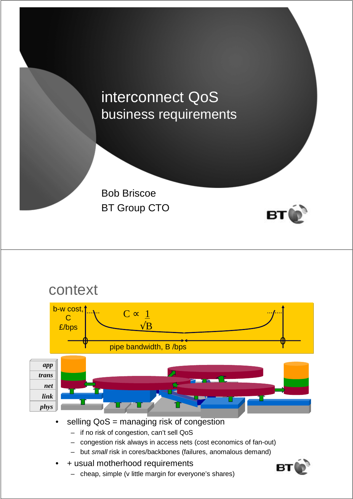### interconnect QoS business requirements

Bob Briscoe BT Group CTO



#### context selling QoS = managing risk of congestion – if no risk of congestion, can't sell QoS *app trans net link phys* 0 0 pipe bandwidth, B /bps b-w cost, C £/bps  $C \propto \underline{1}$  $\sqrt{\mathbf{B}}$

- congestion risk always in access nets (cost economics of fan-out)
- but small risk in cores/backbones (failures, anomalous demand)
- + usual motherhood requirements
	- cheap, simple (v little margin for everyone's shares)

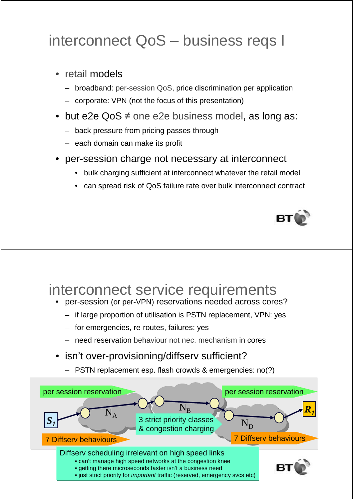# interconnect QoS – business reqs I

- retail models
	- broadband: per-session QoS, price discrimination per application
	- corporate: VPN (not the focus of this presentation)
- but e2e QoS  $\neq$  one e2e business model, as long as:
	- back pressure from pricing passes through
	- each domain can make its profit
- per-session charge not necessary at interconnect
	- bulk charging sufficient at interconnect whatever the retail model
	- can spread risk of QoS failure rate over bulk interconnect contract



#### interconnect service requirements

- per-session (or per-VPN) reservations needed across cores?
	- if large proportion of utilisation is PSTN replacement, VPN: yes
	- for emergencies, re-routes, failures: yes
	- need reservation behaviour not nec. mechanism in cores
- isn't over-provisioning/diffserv sufficient?
	- PSTN replacement esp. flash crowds & emergencies: no(?)

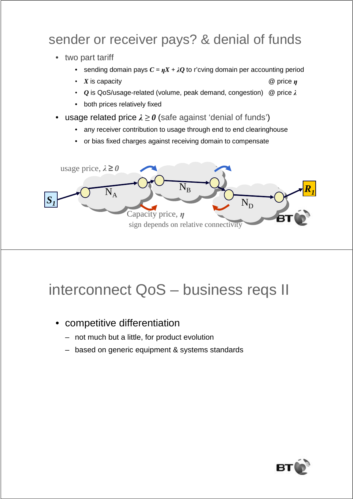#### sender or receiver pays? & denial of funds

- two part tariff
	- sending domain pays  $C = \eta X + \lambda Q$  to r'cving domain per accounting period
	- *X* is capacity @ price η
	- *Q* is QoS/usage-related (volume, peak demand, congestion) @ price λ
	- both prices relatively fixed
- **usage related price**  $\lambda \ge 0$  **(safe against 'denial of funds')** 
	- any receiver contribution to usage through end to end clearinghouse
	- or bias fixed charges against receiving domain to compensate



# interconnect QoS – business reqs II

- competitive differentiation
	- not much but a little, for product evolution
	- based on generic equipment & systems standards